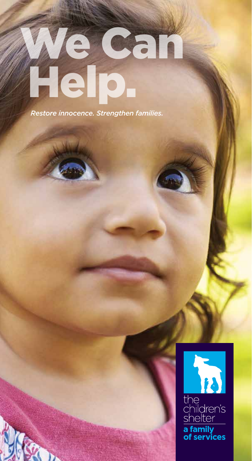# We Can Help.

*Restore innocence. Strengthen families.*

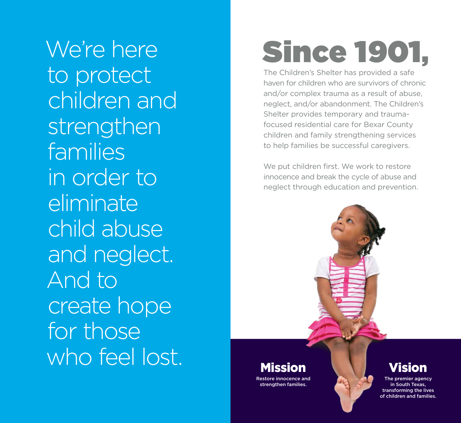We're here to protect children and strengthen families in order to eliminate child abuse and neglect. And to create hope for those who feel lost.

# Since 1901,

The Children's Shelter has provided a safe haven for children who are survivors of chronic and/or complex trauma as a result of abuse, neglect, and/or abandonment. The Children's Shelter provides temporary and traumafocused residential care for Bexar County children and family strengthening services to help families be successful caregivers.

We put children first. We work to restore innocence and break the cycle of abuse and neglect through education and prevention.

Restore innocence and strengthen families.

# Vision

The premier agency in South Texas, transforming the lives of children and families.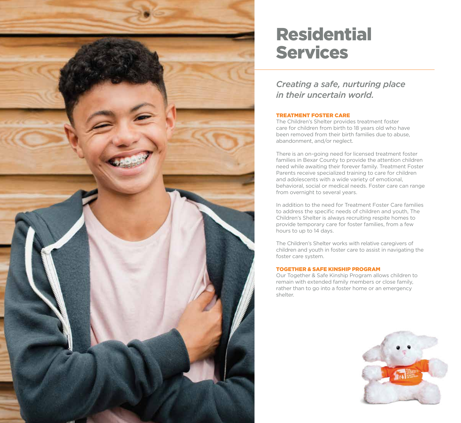

# Residential Services

*Creating a safe, nurturing place in their uncertain world.*

# TREATMENT FOSTER CARE

The Children's Shelter provides treatment foster care for children from birth to 18 years old who have been removed from their birth families due to abuse, abandonment, and/or neglect.

There is an on-going need for licensed treatment foster families in Bexar County to provide the attention children need while awaiting their forever family. Treatment Foster Parents receive specialized training to care for children and adolescents with a wide variety of emotional, behavioral, social or medical needs. Foster care can range from overnight to several years.

In addition to the need for Treatment Foster Care families to address the specific needs of children and youth, The Children's Shelter is always recruiting respite homes to provide temporary care for foster families, from a few hours to up to 14 days.

The Children's Shelter works with relative caregivers of children and youth in foster care to assist in navigating the foster care system.

# TOGETHER & SAFE KINSHIP PROGRAM

Our Together & Safe Kinship Program allows children to remain with extended family members or close family, rather than to go into a foster home or an emergency shelter.

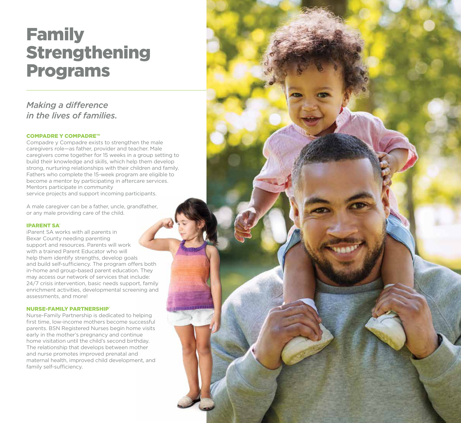# Family Strengthening Programs

# *Making a difference in the lives of families.*

# COMPADRE Y COMPADRE™

Compadre y Compadre exists to strengthen the male caregivers role—as father, provider and teacher. Male caregivers come together for 15 weeks in a group setting to build their knowledge and skills, which help them develop strong, nurturing relationships with their children and family. Fathers who complete the 15-week program are eligible to become a mentor by participating in aftercare services. Mentors participate in community service projects and support incoming participants.

A male caregiver can be a father, uncle, grandfather, or any male providing care of the child.

## **IPARENT SA®**

iParent SA works with all parents in Bexar County needing parenting support and resources. Parents will work with a trained Parent Educator who will help them identify strengths, develop goals and build self-sufficiency. The program offers both in-home and group-based parent education. They may access our network of services that include: 24/7 crisis intervention, basic needs support, family enrichment activities, developmental screening and assessments, and more!

## **NURSE-FAMILY PARTNERSHIP**

Nurse-Family Partnership is dedicated to helping first time, low-income mothers become successful parents. BSN Registered Nurses begin home visits early in the mother's pregnancy and continue home visitation until the child's second birthday. The relationship that develops between mother and nurse promotes improved prenatal and maternal health, improved child development, and family self-sufficiency.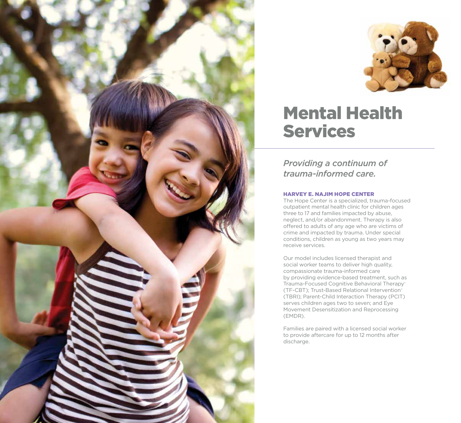



# Mental Health Services

*Providing a continuum of trauma-informed care.*

# HARVEY E. NAJIM HOPE CENTER

The Hope Center is a specialized, trauma-focused outpatient mental health clinic for children ages three to 17 and families impacted by abuse, neglect, and/or abandonment. Therapy is also offered to adults of any age who are victims of crime and impacted by trauma. Under special conditions, children as young as two years may receive services.

Our model includes licensed therapist and social worker teams to deliver high quality, compassionate trauma-informed care by providing evidence-based treatment, such as Trauma-Focused Cognitive Behavioral Therapy® (TF-CBT); Trust-Based Relational Intervention® (TBRI); Parent-Child Interaction Therapy (PCIT) serves children ages two to seven; and Eye Movement Desensitization and Reprocessing (EMDR).

Families are paired with a licensed social worker to provide aftercare for up to 12 months after discharge.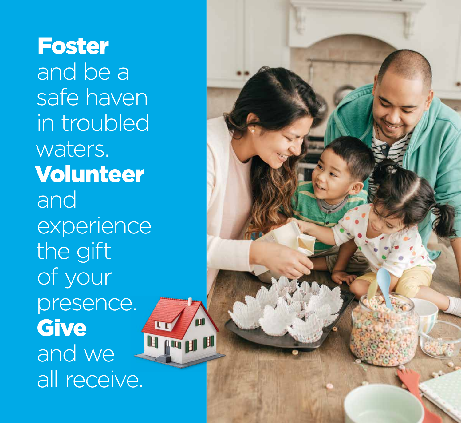Foster and be a safe haven in troubled waters. Volunteer and experience the gift of your presence. **Give**  $\mathbf{u}$ le possibilità dell' and we all receive.

m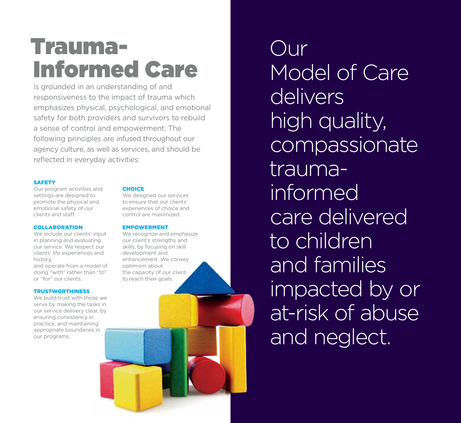# Trauma-Informed Care

is grounded in an understanding of and responsiveness to the impact of trauma which emphasizes physical, psychological, and emotional safety for both providers and survivors to rebuild a sense of control and empowerment. The following principles are infused throughout our agency culture, as well as services, and should be reflected in everyday activities:

## **SAFETY**

Our program activities and settings are designed to promote the physical and emotional safety of our clients and staff.

## **COLLABORATION**

We include our clients' input in planning and evaluating our service. We respect our clients' life experiences and history,

and operate from a model of doing "with" rather than "to" or "for" our clients.

# **TRUSTWORTHINESS**

We build trust with those we serve by making the tasks in our service delivery clear, by ensuring consistency in practice, and maintaining appropriate boundaries in our programs.

# **CHOICE**

We designed our services to ensure that our clients' experiences of choice and control are maximized.

## EMPOWERMENT

We recognize and emphasize our client's strengths and skills, by focusing on skill development and enhancement. We convey optimism about the capacity of our client to reach their goals.

Our Model of Care delivers high quality, compassionate traumainformed care delivered to children and families impacted by or at-risk of abuse and neglect.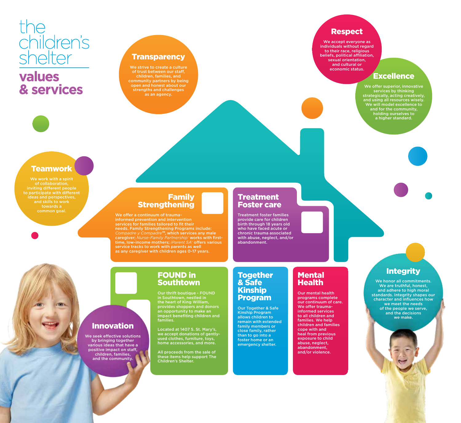# the<br>children's<br>shelter

# **values** & services

# **Transparency**

of trust between our staff, children, families, and community partners by being open and honest about our strengths and challenges as an agency.

# Respect

We accept everyone as individuals without regard to their race, religious beliefs, political affiliation, sexual orientation, and cultural or economic status.

# Excellence

We offer superior, innovative services by thinking strategically, acting creatively, and using all resources wisely. We will model excellence to and for the community, holding ourselves to a higher standard.

# **Teamwork**

We work with a spirit of collaboration, inviting different people ideas and perspectives, and skills to work common goal.

# Family **Strengthening**

We offer a continuum of traumainformed prevention and intervention services for families tailored to fit their needs. Family Strengthening Programs include: *Compadre y Compadre™*, which services any male caregiver; *Nurse-Family Partnership®* works with firsttime, low-income mothers; *iParent SA®* offers various service tracks to work with parents as well as any caregiver with children ages 0-17 years.

# **Treatment** Foster care

Treatment foster families provide care for children birth through 18 years old who have faced acute or chronic trauma associated with abuse, neglect, and/or abandonment.

# Mental Health

Our mental health programs complete our continuum of care. We offer traumainformed services to all children and families. We help children and families cope with and heal from previous exposure to child abuse, neglect, abandonment, and/or violence.

# **Integrity**

We honor all commitments. We are truthful, honest, and adhere to high moral standards. Integrity shapes our character and influences how we meet the needs of the people we serve, and the decisions we make.

Innovation We seek effective solutions by bringing together various ideas that have a positive impact on staff,

children, families, and the community.

# FOUND in Southtown

Our thrift boutique - FOUND in Southtown, nestled in the heart of King William, provides shoppers and donors an opportunity to make an impact benefiting children and families.

Located at 1407 S. St. Mary's, we accept donations of gentlyused clothes, furniture, toys, home accessories, and more.

All proceeds from the sale of these items help support The Children's Shelter.

# **Together** & Safe Kinship Program

Our Together & Safe Kinship Program allows children to remain with extended family members or close family, rather than to go into a foster home or an emergency shelter.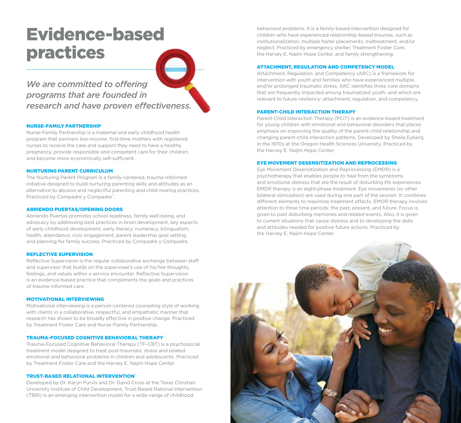# Evidence-based practices

*We are committed to offering programs that are founded in research and have proven effectiveness.*

#### **NURSE-FAMILY PARTNERSHIP**®

Nurse-Family Partnership is a maternal and early childhood health program that partners low-income, first-time mothers with registered nurses to receive the care and support they need to have a healthy pregnancy, provide responsible and competent care for their children, and become more economically self-sufficient.

#### NURTURING PARENT CURRICULUM

The Nurturing Parent Program is a family-centered, trauma-informed initiative designed to build nurturing parenting skills and attitudes as an alternative to abusive and neglectful parenting and child-rearing practices. Practiced by Compadre y Compadre™.

#### ABRIENDO PUERTAS/OPENING DOORS

Abriendo Puertas promotes school readiness, family well-being, and advocacy by addressing best practices in brain development, key aspects of early childhood development, early literacy, numeracy, bilingualism, health, attendance, civic engagement, parent leadership goal setting, and planning for family success. Practiced by Compadre y Compadre.

### REFLECTIVE SUPERVISION

Reflective Supervision is the regular collaborative exchange between staff and supervisor that builds on the supervisee's use of his/her thoughts, feelings, and values within a service encounter. Reflective Supervision is an evidence-based practice that compliments the goals and practices of trauma-informed care.

#### MOTIVATIONAL INTERVIEWING

Motivational interviewing is a person-centered counseling style of working with clients in a collaborative, respectful, and empathetic manner that research has shown to be broadly effective in positive change. Practiced by Treatment Foster Care and Nurse-Family Partnership.

#### TRAUMA-FOCUSED COGNITIVE BEHAVIORAL THERAPY®

Trauma-Focused Cognitive Behavioral Therapy (TF-CBT) is a psychosocial treatment model designed to treat post-traumatic stress and related emotional and behavioral problems in children and adolescents. Practiced by Treatment Foster Care and the Harvey E. Najim Hope Center.

### **TRUST-BASED RELATIONAL INTERVENTION®**

Developed by Dr. Karyn Purvis and Dr. David Cross at the Texas Christian University Institute of Child Development, Trust-Based Rational Intervention (TBRI) is an emerging intervention model for a wide-range of childhood

behavioral problems. It is a family-based intervention designed for children who have experienced relationship-based traumas, such as institutionalization, multiple foster placements, maltreatment, and/or neglect. Practiced by emergency shelter, Treatment Foster Care, the Harvey E. Najim Hope Center, and family strengthening.

#### ATTACHMENT, REGULATION AND COMPETENCY MODEL

Attachment, Regulation, and Competency (ARC) is a framework for intervention with youth and families who have experienced multiple, and/or prolonged traumatic stress. ARC identifies three core domains that are frequently impacted among traumatized youth, and which are relevant to future resiliency: attachment, regulation, and competency.

#### PARENT-CHILD INTERACTION THERAPY

Parent-Child Interaction Therapy (PCIT) is an evidence-based treatment for young children with emotional and behavioral disorders that places emphasis on improving the quality of the parent-child relationship and changing parent-child interaction patterns. Developed by Sheila Eyberg in the 1970s at the Oregon Health Sciences University. Practiced by the Harvey E. Najim Hope Center.

### EYE MOVEMENT DESENSITIZATION AND REPROCESSING

Eye Movement Desensitization and Reprocessing (EMDR) is a psychotherapy that enables people to heal from the symptoms and emotional distress that are the result of disturbing life experiences. EMDR therapy is an eight-phase treatment. Eye movements (or other bilateral stimulation) are used during one part of the session. It combines different elements to maximize treatment effects. EMDR therapy involves attention to three time periods: the past, present, and future. Focus is given to past disturbing memories and related events. Also, it is given to current situations that cause distress and to developing the skills and attitudes needed for positive future actions. Practiced by the Harvey E. Najim Hope Center.

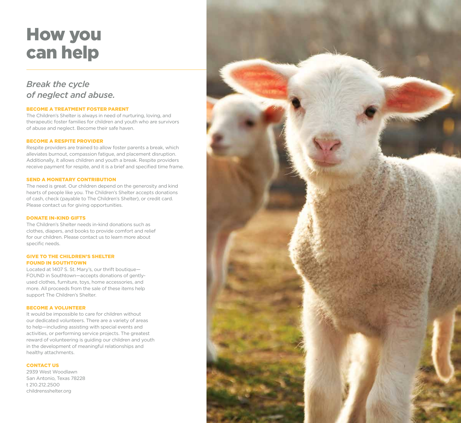# How you can help

# *Break the cycle of neglect and abuse.*

## BECOME A TREATMENT FOSTER PARENT

The Children's Shelter is always in need of nurturing, loving, and therapeutic foster families for children and youth who are survivors of abuse and neglect. Become their safe haven.

## BECOME A RESPITE PROVIDER

Respite providers are trained to allow foster parents a break, which alleviates burnout, compassion fatigue, and placement disruption. Additionally, it allows children and youth a break. Respite providers receive payment for respite, and it is a brief and specified time frame.

### SEND A MONETARY CONTRIBUTION

The need is great. Our children depend on the generosity and kind hearts of people like you. The Children's Shelter accepts donations of cash, check (payable to The Children's Shelter), or credit card. Please contact us for giving opportunities.

### DONATE IN-KIND GIFTS

The Children's Shelter needs in-kind donations such as clothes, diapers, and books to provide comfort and relief for our children. Please contact us to learn more about specific needs.

## GIVE TO THE CHILDREN'S SHELTER FOUND IN SOUTHTOWN

Located at 1407 S. St. Mary's, our thrift boutique— FOUND in Southtown—accepts donations of gentlyused clothes, furniture, toys, home accessories, and more. All proceeds from the sale of these items help support The Children's Shelter.

### BECOME A VOLUNTEER

It would be impossible to care for children without our dedicated volunteers. There are a variety of areas to help—including assisting with special events and activities, or performing service projects. The greatest reward of volunteering is guiding our children and youth in the development of meaningful relationships and healthy attachments.

## CONTACT US

2939 West Woodlawn San Antonio, Texas 78228 t 210.212.2500 childrensshelter.org